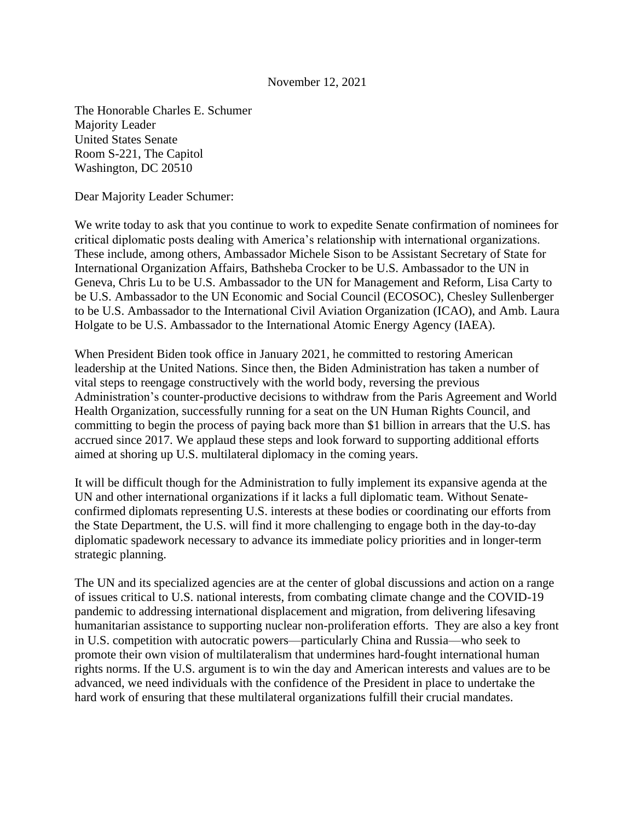## November 12, 2021

The Honorable Charles E. Schumer Majority Leader United States Senate Room S-221, The Capitol Washington, DC 20510

Dear Majority Leader Schumer:

We write today to ask that you continue to work to expedite Senate confirmation of nominees for critical diplomatic posts dealing with America's relationship with international organizations. These include, among others, Ambassador Michele Sison to be Assistant Secretary of State for International Organization Affairs, Bathsheba Crocker to be U.S. Ambassador to the UN in Geneva, Chris Lu to be U.S. Ambassador to the UN for Management and Reform, Lisa Carty to be U.S. Ambassador to the UN Economic and Social Council (ECOSOC), Chesley Sullenberger to be U.S. Ambassador to the International Civil Aviation Organization (ICAO), and Amb. Laura Holgate to be U.S. Ambassador to the International Atomic Energy Agency (IAEA).

When President Biden took office in January 2021, he committed to restoring American leadership at the United Nations. Since then, the Biden Administration has taken a number of vital steps to reengage constructively with the world body, reversing the previous Administration's counter-productive decisions to withdraw from the Paris Agreement and World Health Organization, successfully running for a seat on the UN Human Rights Council, and committing to begin the process of paying back more than \$1 billion in arrears that the U.S. has accrued since 2017. We applaud these steps and look forward to supporting additional efforts aimed at shoring up U.S. multilateral diplomacy in the coming years.

It will be difficult though for the Administration to fully implement its expansive agenda at the UN and other international organizations if it lacks a full diplomatic team. Without Senateconfirmed diplomats representing U.S. interests at these bodies or coordinating our efforts from the State Department, the U.S. will find it more challenging to engage both in the day-to-day diplomatic spadework necessary to advance its immediate policy priorities and in longer-term strategic planning.

The UN and its specialized agencies are at the center of global discussions and action on a range of issues critical to U.S. national interests, from combating climate change and the COVID-19 pandemic to addressing international displacement and migration, from delivering lifesaving humanitarian assistance to supporting nuclear non-proliferation efforts. They are also a key front in U.S. competition with autocratic powers—particularly China and Russia—who seek to promote their own vision of multilateralism that undermines hard-fought international human rights norms. If the U.S. argument is to win the day and American interests and values are to be advanced, we need individuals with the confidence of the President in place to undertake the hard work of ensuring that these multilateral organizations fulfill their crucial mandates.